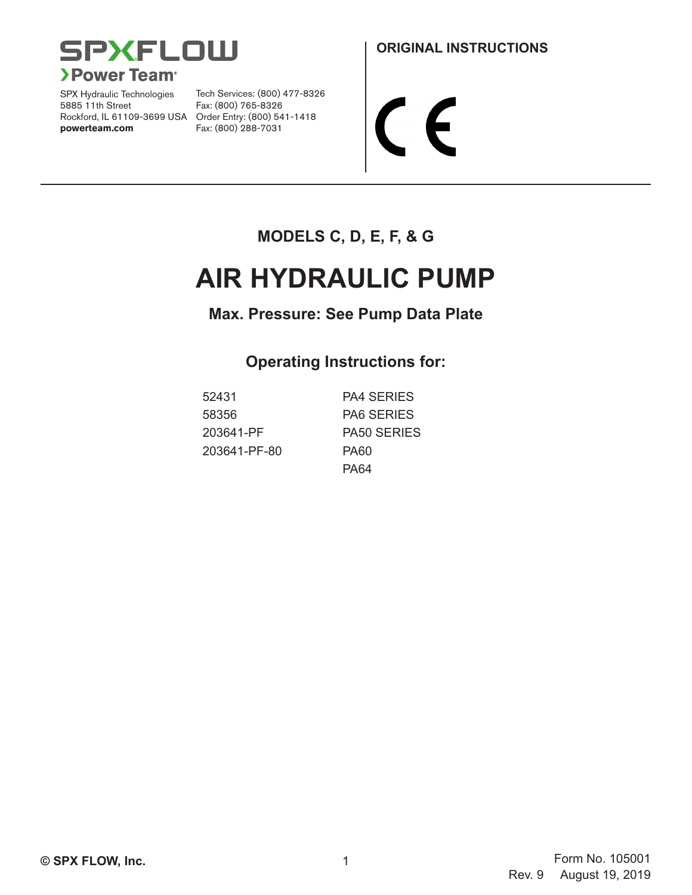

SPX Hydraulic Technologies 5885 11th Street Rockford, IL 61109-3699 USA Order Entry: (800) 541-1418 **powerteam.com** Fax: (800) 288-7031

Tech Services: (800) 477-8326 Fax: (800) 765-8326

 $\boldsymbol{\epsilon}$ 

## **MODELS C, D, E, F, & G**

# **AIR HYDRAULIC PUMP**

## **Max. Pressure: See Pump Data Plate**

## **Operating Instructions for:**

| 52431        | <b>PA4 SERIES</b>  |
|--------------|--------------------|
| 58356        | <b>PA6 SERIES</b>  |
| 203641-PF    | <b>PA50 SERIES</b> |
| 203641-PF-80 | <b>PA60</b>        |
|              | PA64               |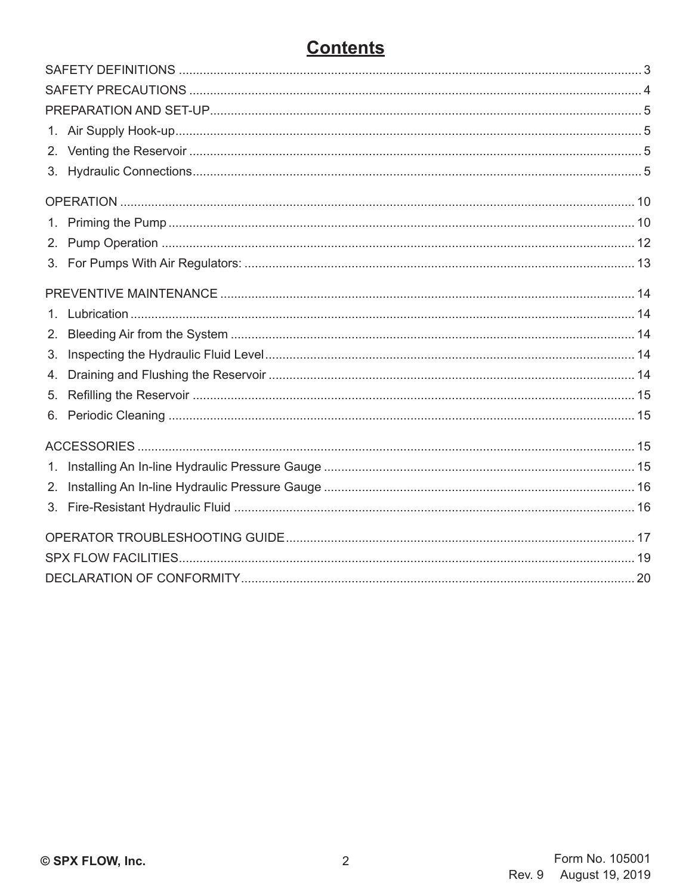# **Contents**

| 3.      |  |  |  |  |  |
|---------|--|--|--|--|--|
|         |  |  |  |  |  |
| 1.      |  |  |  |  |  |
| 2.      |  |  |  |  |  |
| 3.      |  |  |  |  |  |
|         |  |  |  |  |  |
| $1_{-}$ |  |  |  |  |  |
| 2.      |  |  |  |  |  |
| 3.      |  |  |  |  |  |
| 4.      |  |  |  |  |  |
| 5.      |  |  |  |  |  |
|         |  |  |  |  |  |
|         |  |  |  |  |  |
| $1_{-}$ |  |  |  |  |  |
| 2.      |  |  |  |  |  |
|         |  |  |  |  |  |
|         |  |  |  |  |  |
|         |  |  |  |  |  |
|         |  |  |  |  |  |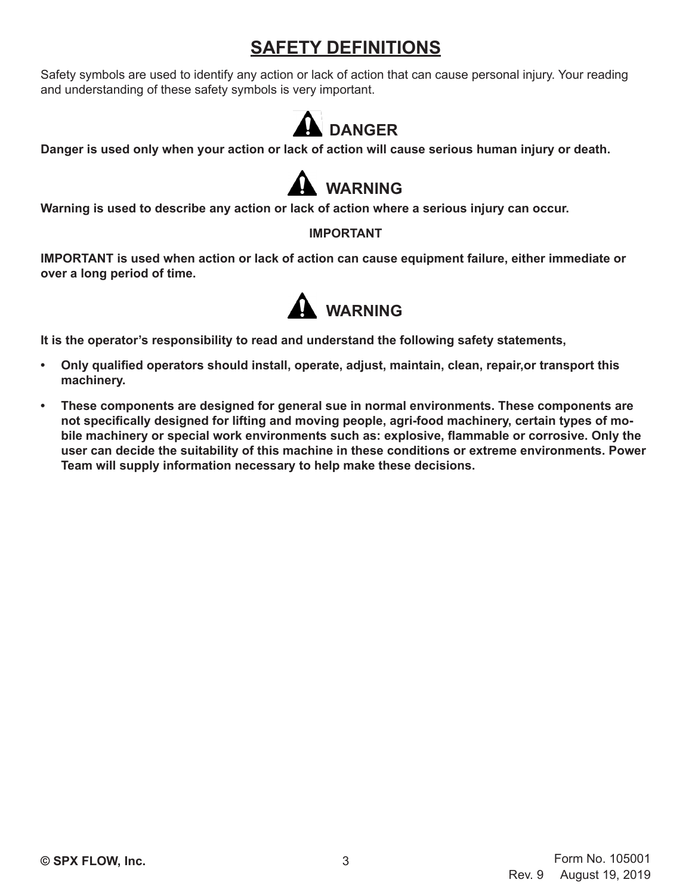# **SAFETY DEFINITIONS**

Safety symbols are used to identify any action or lack of action that can cause personal injury. Your reading and understanding of these safety symbols is very important.



**Danger is used only when your action or lack of action will cause serious human injury or death.**



**Warning is used to describe any action or lack of action where a serious injury can occur.**

## **IMPORTANT**

**IMPORTANT is used when action or lack of action can cause equipment failure, either immediate or over a long period of time.**



**It is the operator's responsibility to read and understand the following safety statements,**

- **• Only qualified operators should install, operate, adjust, maintain, clean, repair,or transport this machinery.**
- **• These components are designed for general sue in normal environments. These components are not specifically designed for lifting and moving people, agri-food machinery, certain types of mobile machinery or special work environments such as: explosive, flammable or corrosive. Only the user can decide the suitability of this machine in these conditions or extreme environments. Power Team will supply information necessary to help make these decisions.**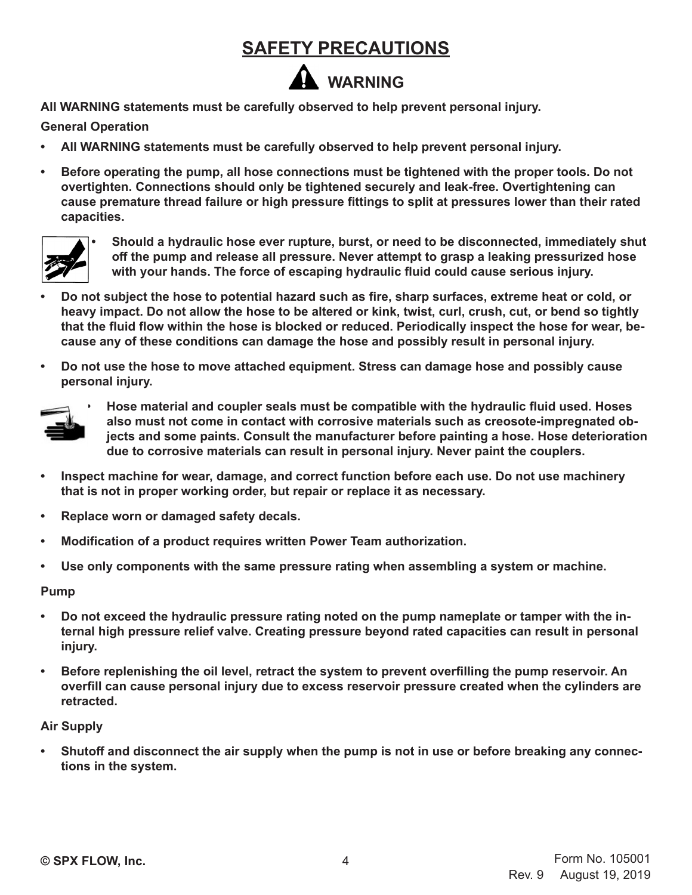# **SAFETY PRECAUTIONS**

# **WARNING**

**All WARNING statements must be carefully observed to help prevent personal injury.**

## **General Operation**

- **• All WARNING statements must be carefully observed to help prevent personal injury.**
- **• Before operating the pump, all hose connections must be tightened with the proper tools. Do not overtighten. Connections should only be tightened securely and leak-free. Overtightening can cause premature thread failure or high pressure fittings to split at pressures lower than their rated capacities.**



**• Should a hydraulic hose ever rupture, burst, or need to be disconnected, immediately shut off the pump and release all pressure. Never attempt to grasp a leaking pressurized hose with your hands. The force of escaping hydraulic fluid could cause serious injury.**

- **• Do not subject the hose to potential hazard such as fire, sharp surfaces, extreme heat or cold, or heavy impact. Do not allow the hose to be altered or kink, twist, curl, crush, cut, or bend so tightly that the fluid flow within the hose is blocked or reduced. Periodically inspect the hose for wear, because any of these conditions can damage the hose and possibly result in personal injury.**
- **• Do not use the hose to move attached equipment. Stress can damage hose and possibly cause personal injury.**



**• Hose material and coupler seals must be compatible with the hydraulic fluid used. Hoses also must not come in contact with corrosive materials such as creosote-impregnated objects and some paints. Consult the manufacturer before painting a hose. Hose deterioration due to corrosive materials can result in personal injury. Never paint the couplers.**

- **• Inspect machine for wear, damage, and correct function before each use. Do not use machinery that is not in proper working order, but repair or replace it as necessary.**
- **• Replace worn or damaged safety decals.**
- **• Modification of a product requires written Power Team authorization.**
- **• Use only components with the same pressure rating when assembling a system or machine.**

#### **Pump**

- **• Do not exceed the hydraulic pressure rating noted on the pump nameplate or tamper with the internal high pressure relief valve. Creating pressure beyond rated capacities can result in personal injury.**
- **• Before replenishing the oil level, retract the system to prevent overfilling the pump reservoir. An overfill can cause personal injury due to excess reservoir pressure created when the cylinders are retracted.**

#### **Air Supply**

**• Shutoff and disconnect the air supply when the pump is not in use or before breaking any connections in the system.**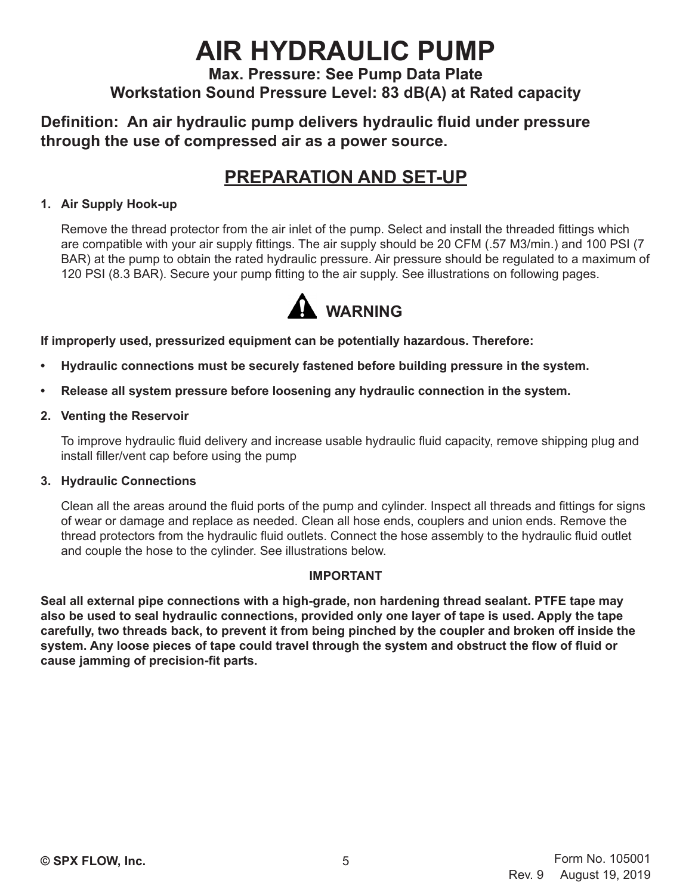# **AIR HYDRAULIC PUMP**

## **Max. Pressure: See Pump Data Plate Workstation Sound Pressure Level: 83 dB(A) at Rated capacity**

## **Definition: An air hydraulic pump delivers hydraulic fluid under pressure through the use of compressed air as a power source.**

# **PREPARATION AND SET-UP**

## **1. Air Supply Hook-up**

Remove the thread protector from the air inlet of the pump. Select and install the threaded fittings which are compatible with your air supply fittings. The air supply should be 20 CFM (.57 M3/min.) and 100 PSI (7 BAR) at the pump to obtain the rated hydraulic pressure. Air pressure should be regulated to a maximum of 120 PSI (8.3 BAR). Secure your pump fitting to the air supply. See illustrations on following pages.



**If improperly used, pressurized equipment can be potentially hazardous. Therefore:**

- **• Hydraulic connections must be securely fastened before building pressure in the system.**
- **• Release all system pressure before loosening any hydraulic connection in the system.**
- **2. Venting the Reservoir**

To improve hydraulic fluid delivery and increase usable hydraulic fluid capacity, remove shipping plug and install filler/vent cap before using the pump

## **3. Hydraulic Connections**

Clean all the areas around the fluid ports of the pump and cylinder. Inspect all threads and fittings for signs of wear or damage and replace as needed. Clean all hose ends, couplers and union ends. Remove the thread protectors from the hydraulic fluid outlets. Connect the hose assembly to the hydraulic fluid outlet and couple the hose to the cylinder. See illustrations below.

## **IMPORTANT**

**Seal all external pipe connections with a high-grade, non hardening thread sealant. PTFE tape may also be used to seal hydraulic connections, provided only one layer of tape is used. Apply the tape carefully, two threads back, to prevent it from being pinched by the coupler and broken off inside the system. Any loose pieces of tape could travel through the system and obstruct the flow of fluid or cause jamming of precision-fit parts.**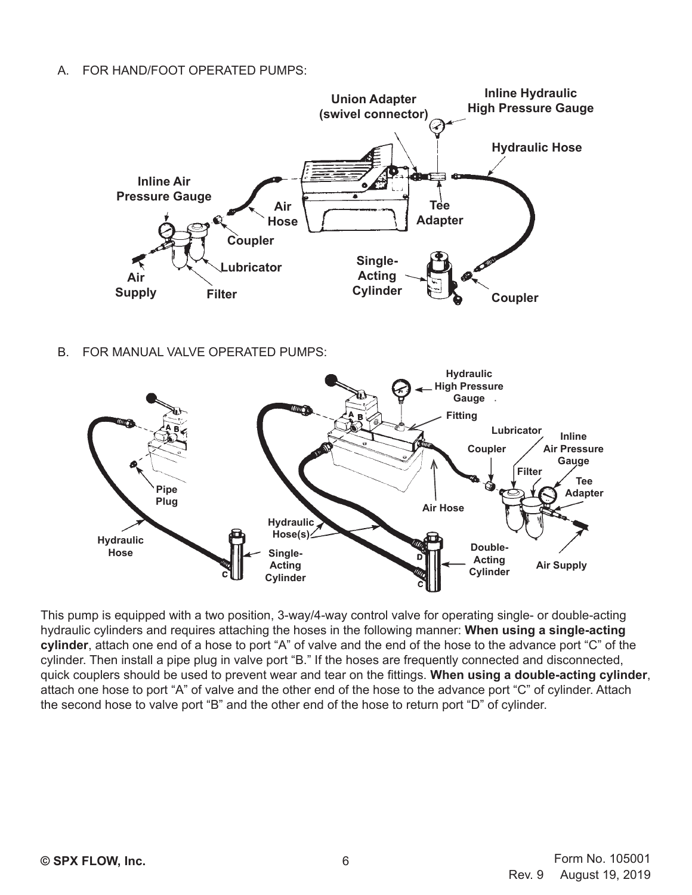A. FOR HAND/FOOT OPERATED PUMPS:



B. FOR MANUAL VALVE OPERATED PUMPS:



This pump is equipped with a two position, 3-way/4-way control valve for operating single- or double-acting hydraulic cylinders and requires attaching the hoses in the following manner: **When using a single-acting cylinder**, attach one end of a hose to port "A" of valve and the end of the hose to the advance port "C" of the cylinder. Then install a pipe plug in valve port "B." If the hoses are frequently connected and disconnected, quick couplers should be used to prevent wear and tear on the fittings. **When using a double-acting cylinder**, attach one hose to port "A" of valve and the other end of the hose to the advance port "C" of cylinder. Attach the second hose to valve port "B" and the other end of the hose to return port "D" of cylinder.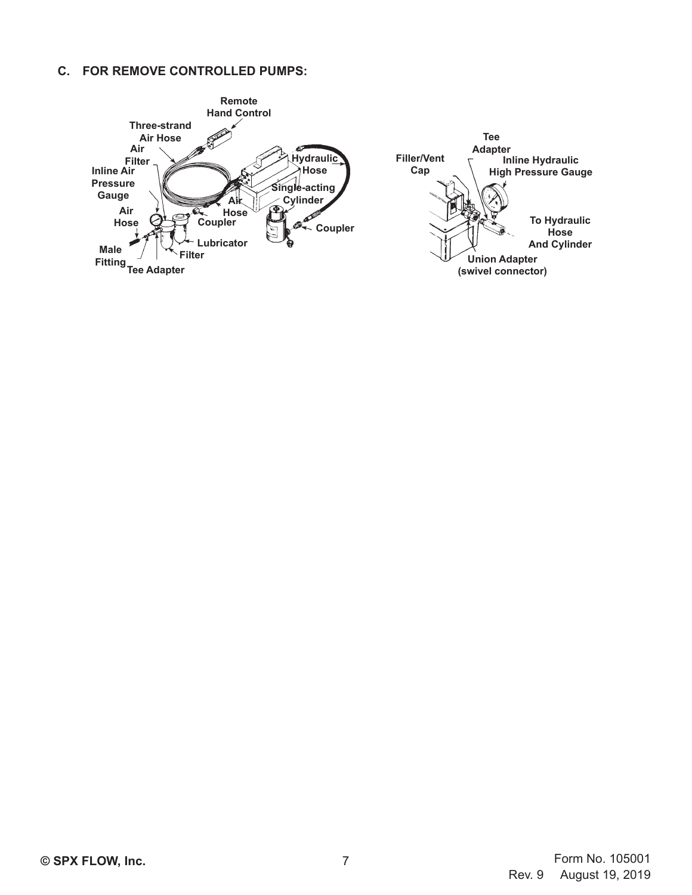#### **C. FOR REMOVE CONTROLLED PUMPS:**

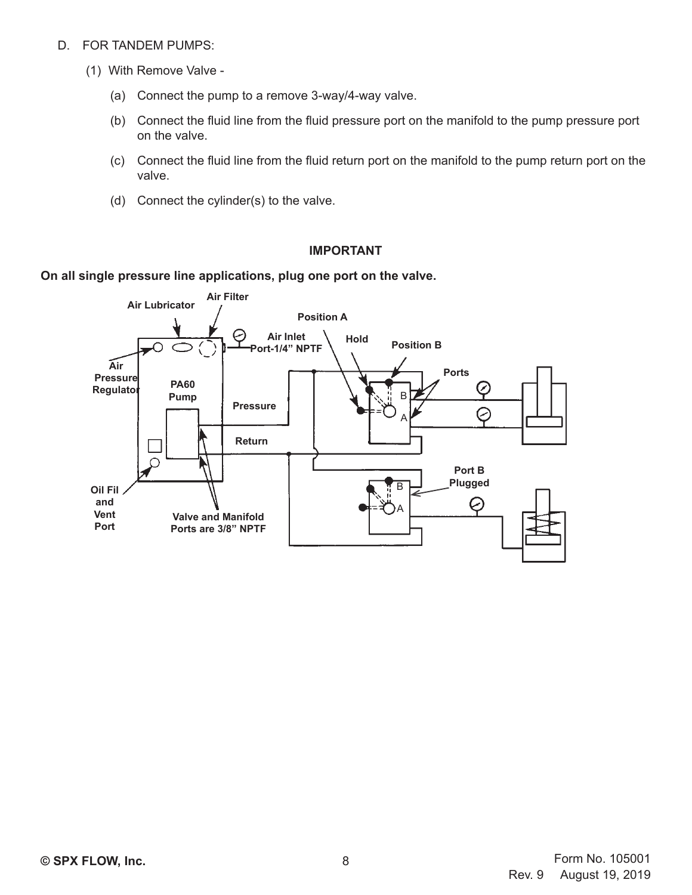- D. FOR TANDEM PUMPS:
	- (1) With Remove Valve
		- (a) Connect the pump to a remove 3-way/4-way valve.
		- (b) Connect the fluid line from the fluid pressure port on the manifold to the pump pressure port on the valve.
		- (c) Connect the fluid line from the fluid return port on the manifold to the pump return port on the valve.
		- (d) Connect the cylinder(s) to the valve.

#### **IMPORTANT**

#### **On all single pressure line applications, plug one port on the valve.**

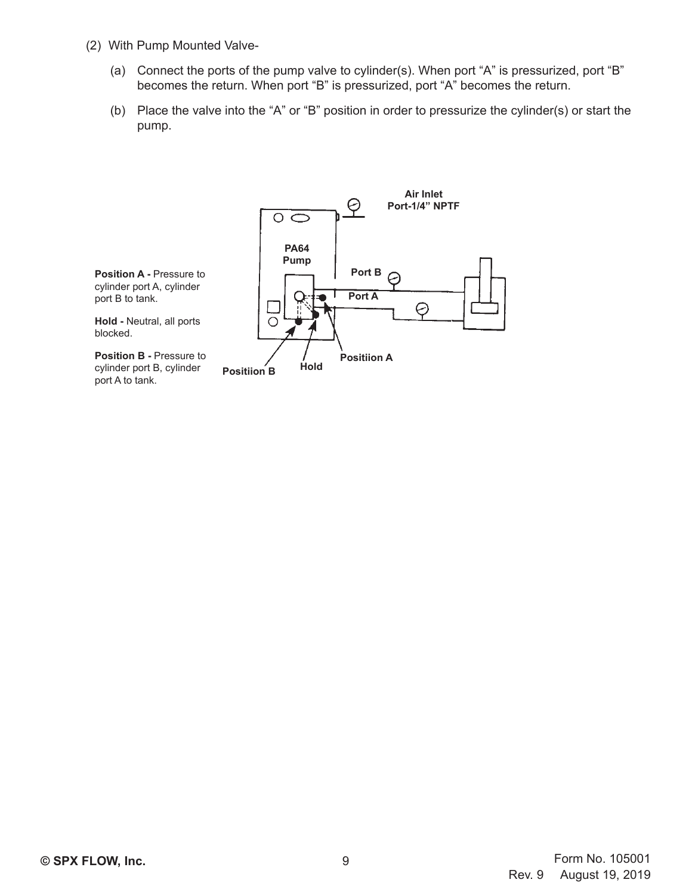- (2) With Pump Mounted Valve-
	- (a) Connect the ports of the pump valve to cylinder(s). When port "A" is pressurized, port "B" becomes the return. When port "B" is pressurized, port "A" becomes the return.
	- (b) Place the valve into the "A" or "B" position in order to pressurize the cylinder(s) or start the pump.

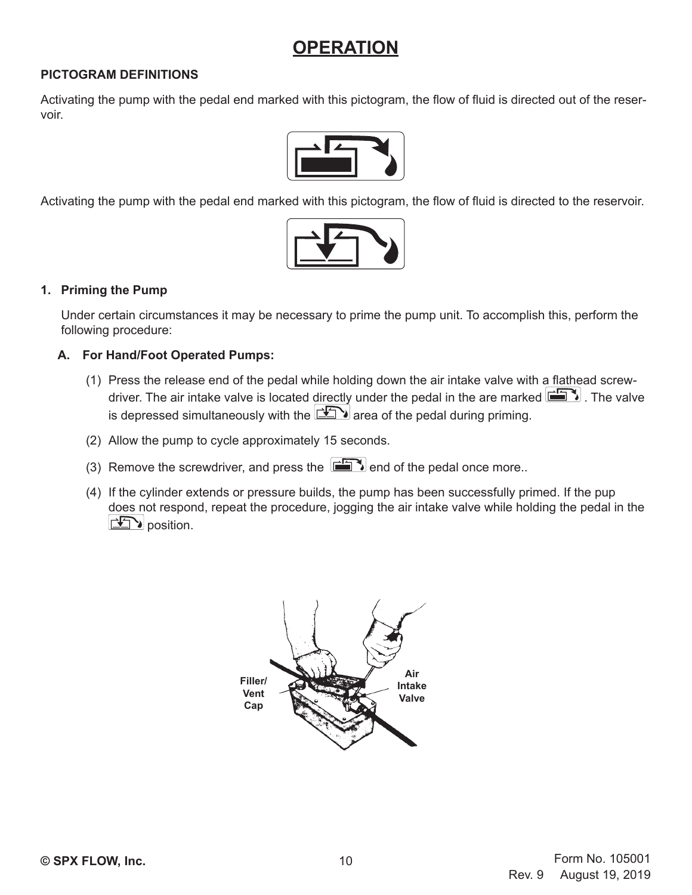## **OPERATION**

#### **PICTOGRAM DEFINITIONS**

Activating the pump with the pedal end marked with this pictogram, the flow of fluid is directed out of the reservoir.



Activating the pump with the pedal end marked with this pictogram, the flow of fluid is directed to the reservoir.



#### **1. Priming the Pump**

Under certain circumstances it may be necessary to prime the pump unit. To accomplish this, perform the following procedure:

#### **A. For Hand/Foot Operated Pumps:**

- (1) Press the release end of the pedal while holding down the air intake valve with a flathead screwdriver. The air intake valve is located directly under the pedal in the are marked  $\Box$ . The valve is depressed simultaneously with the  $\Box$  area of the pedal during priming.
- (2) Allow the pump to cycle approximately 15 seconds.
- (3) Remove the screwdriver, and press the  $\Box$  end of the pedal once more..
- (4) If the cylinder extends or pressure builds, the pump has been successfully primed. If the pup does not respond, repeat the procedure, jogging the air intake valve while holding the pedal in the position.

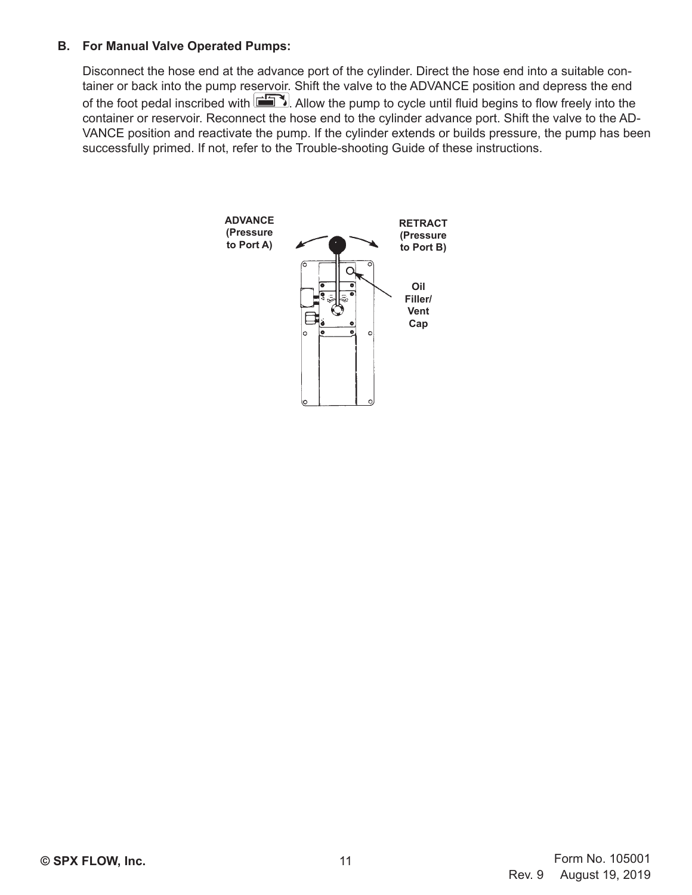#### **B. For Manual Valve Operated Pumps:**

Disconnect the hose end at the advance port of the cylinder. Direct the hose end into a suitable container or back into the pump reservoir. Shift the valve to the ADVANCE position and depress the end of the foot pedal inscribed with  $\Box$ . Allow the pump to cycle until fluid begins to flow freely into the container or reservoir. Reconnect the hose end to the cylinder advance port. Shift the valve to the AD-VANCE position and reactivate the pump. If the cylinder extends or builds pressure, the pump has been successfully primed. If not, refer to the Trouble-shooting Guide of these instructions.

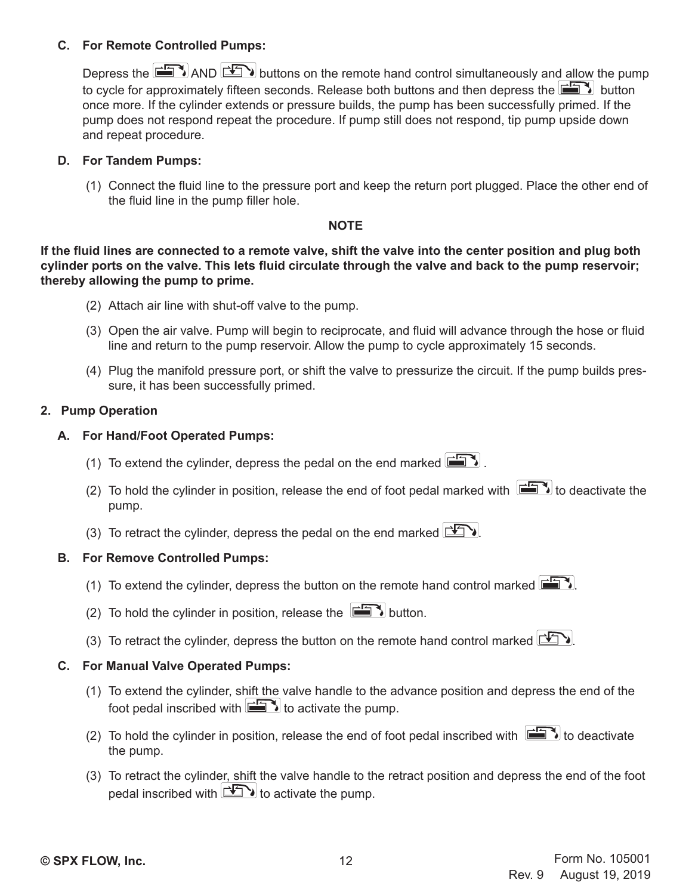#### **C. For Remote Controlled Pumps:**

Depress the  $\Box$  AND  $\Box$  buttons on the remote hand control simultaneously and allow the pump to cycle for approximately fifteen seconds. Release both buttons and then depress the  $\Box$  button once more. If the cylinder extends or pressure builds, the pump has been successfully primed. If the pump does not respond repeat the procedure. If pump still does not respond, tip pump upside down and repeat procedure.

#### **D. For Tandem Pumps:**

(1) Connect the fluid line to the pressure port and keep the return port plugged. Place the other end of the fluid line in the pump filler hole.

#### **NOTE**

**If the fluid lines are connected to a remote valve, shift the valve into the center position and plug both cylinder ports on the valve. This lets fluid circulate through the valve and back to the pump reservoir; thereby allowing the pump to prime.**

- (2) Attach air line with shut-off valve to the pump.
- (3) Open the air valve. Pump will begin to reciprocate, and fluid will advance through the hose or fluid line and return to the pump reservoir. Allow the pump to cycle approximately 15 seconds.
- (4) Plug the manifold pressure port, or shift the valve to pressurize the circuit. If the pump builds pressure, it has been successfully primed.

#### **2. Pump Operation**

#### **A. For Hand/Foot Operated Pumps:**

- (1) To extend the cylinder, depress the pedal on the end marked  $\mathbb{E}$ .
- (2) To hold the cylinder in position, release the end of foot pedal marked with  $\Box$  to deactivate the pump.
- (3) To retract the cylinder, depress the pedal on the end marked  $\Box$

#### **B. For Remove Controlled Pumps:**

- (1) To extend the cylinder, depress the button on the remote hand control marked  $\Box$
- (2) To hold the cylinder in position, release the  $\boxed{\Box \Box}$  button.
- (3) To retract the cylinder, depress the button on the remote hand control marked  $\Box$

## **C. For Manual Valve Operated Pumps:**

- (1) To extend the cylinder, shift the valve handle to the advance position and depress the end of the foot pedal inscribed with  $\mathbb{H}$  to activate the pump.
- (2) To hold the cylinder in position, release the end of foot pedal inscribed with  $\Box$  to deactivate the pump.
- (3) To retract the cylinder, shift the valve handle to the retract position and depress the end of the foot pedal inscribed with  $\mathbb{E}$  to activate the pump.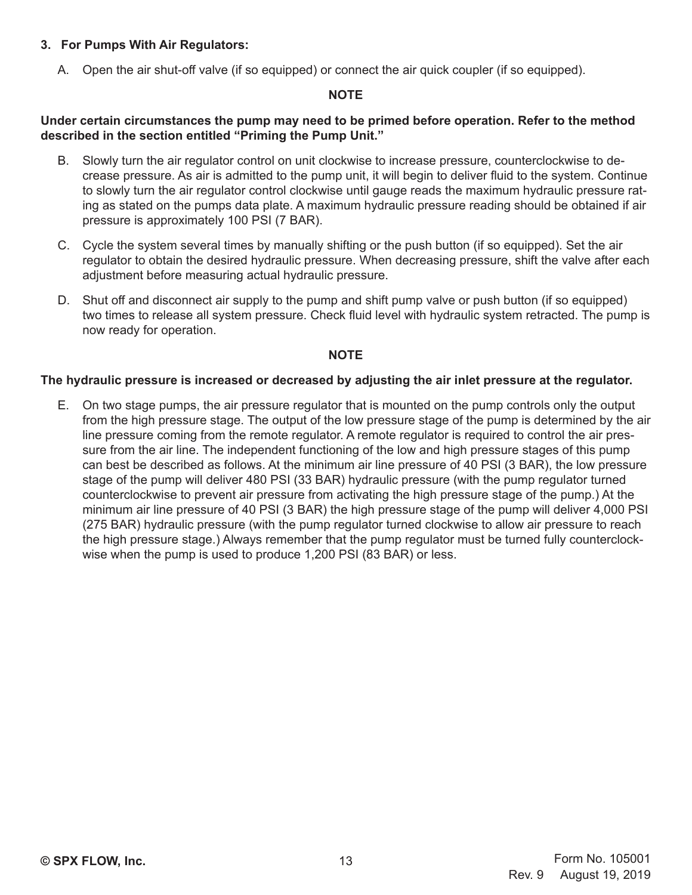### **3. For Pumps With Air Regulators:**

A. Open the air shut-off valve (if so equipped) or connect the air quick coupler (if so equipped).

#### **NOTE**

#### **Under certain circumstances the pump may need to be primed before operation. Refer to the method described in the section entitled "Priming the Pump Unit."**

- B. Slowly turn the air regulator control on unit clockwise to increase pressure, counterclockwise to decrease pressure. As air is admitted to the pump unit, it will begin to deliver fluid to the system. Continue to slowly turn the air regulator control clockwise until gauge reads the maximum hydraulic pressure rating as stated on the pumps data plate. A maximum hydraulic pressure reading should be obtained if air pressure is approximately 100 PSI (7 BAR).
- C. Cycle the system several times by manually shifting or the push button (if so equipped). Set the air regulator to obtain the desired hydraulic pressure. When decreasing pressure, shift the valve after each adjustment before measuring actual hydraulic pressure.
- D. Shut off and disconnect air supply to the pump and shift pump valve or push button (if so equipped) two times to release all system pressure. Check fluid level with hydraulic system retracted. The pump is now ready for operation.

#### **NOTE**

#### **The hydraulic pressure is increased or decreased by adjusting the air inlet pressure at the regulator.**

E. On two stage pumps, the air pressure regulator that is mounted on the pump controls only the output from the high pressure stage. The output of the low pressure stage of the pump is determined by the air line pressure coming from the remote regulator. A remote regulator is required to control the air pressure from the air line. The independent functioning of the low and high pressure stages of this pump can best be described as follows. At the minimum air line pressure of 40 PSI (3 BAR), the low pressure stage of the pump will deliver 480 PSI (33 BAR) hydraulic pressure (with the pump regulator turned counterclockwise to prevent air pressure from activating the high pressure stage of the pump.) At the minimum air line pressure of 40 PSI (3 BAR) the high pressure stage of the pump will deliver 4,000 PSI (275 BAR) hydraulic pressure (with the pump regulator turned clockwise to allow air pressure to reach the high pressure stage.) Always remember that the pump regulator must be turned fully counterclockwise when the pump is used to produce 1,200 PSI (83 BAR) or less.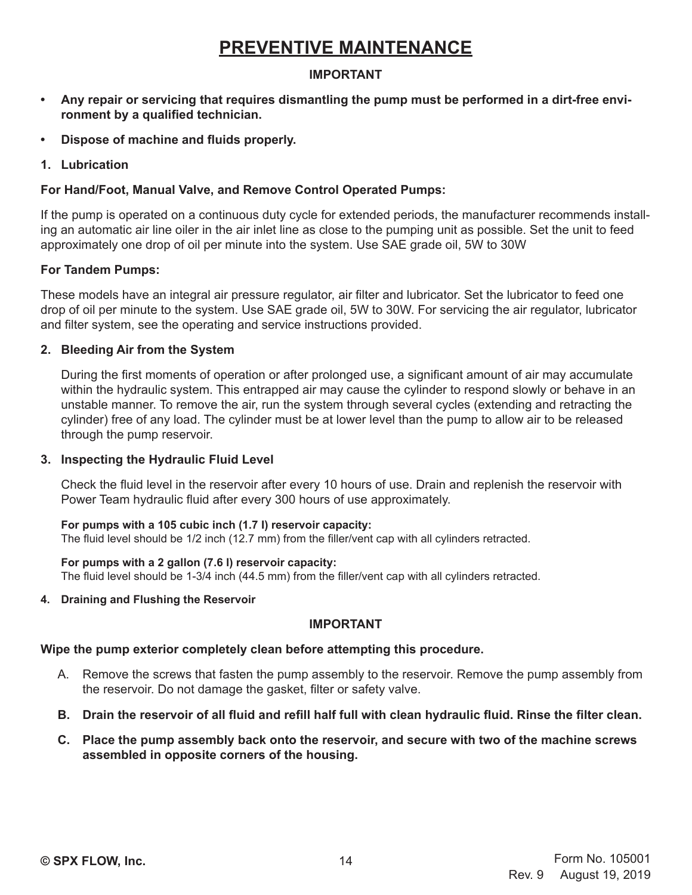## **PREVENTIVE MAINTENANCE**

## **IMPORTANT**

- **• Any repair or servicing that requires dismantling the pump must be performed in a dirt-free environment by a qualified technician.**
- **• Dispose of machine and fluids properly.**
- **1. Lubrication**

## **For Hand/Foot, Manual Valve, and Remove Control Operated Pumps:**

If the pump is operated on a continuous duty cycle for extended periods, the manufacturer recommends installing an automatic air line oiler in the air inlet line as close to the pumping unit as possible. Set the unit to feed approximately one drop of oil per minute into the system. Use SAE grade oil, 5W to 30W

#### **For Tandem Pumps:**

These models have an integral air pressure regulator, air filter and lubricator. Set the lubricator to feed one drop of oil per minute to the system. Use SAE grade oil, 5W to 30W. For servicing the air regulator, lubricator and filter system, see the operating and service instructions provided.

#### **2. Bleeding Air from the System**

During the first moments of operation or after prolonged use, a significant amount of air may accumulate within the hydraulic system. This entrapped air may cause the cylinder to respond slowly or behave in an unstable manner. To remove the air, run the system through several cycles (extending and retracting the cylinder) free of any load. The cylinder must be at lower level than the pump to allow air to be released through the pump reservoir.

#### **3. Inspecting the Hydraulic Fluid Level**

Check the fluid level in the reservoir after every 10 hours of use. Drain and replenish the reservoir with Power Team hydraulic fluid after every 300 hours of use approximately.

#### **For pumps with a 105 cubic inch (1.7 I) reservoir capacity:**

The fluid level should be 1/2 inch (12.7 mm) from the filler/vent cap with all cylinders retracted.

#### **For pumps with a 2 gallon (7.6 l) reservoir capacity:**

The fluid level should be 1-3/4 inch (44.5 mm) from the filler/vent cap with all cylinders retracted.

#### **4. Draining and Flushing the Reservoir**

#### **IMPORTANT**

#### **Wipe the pump exterior completely clean before attempting this procedure.**

- A. Remove the screws that fasten the pump assembly to the reservoir. Remove the pump assembly from the reservoir. Do not damage the gasket, filter or safety valve.
- **B. Drain the reservoir of all fluid and refill half full with clean hydraulic fluid. Rinse the filter clean.**
- **C. Place the pump assembly back onto the reservoir, and secure with two of the machine screws assembled in opposite corners of the housing.**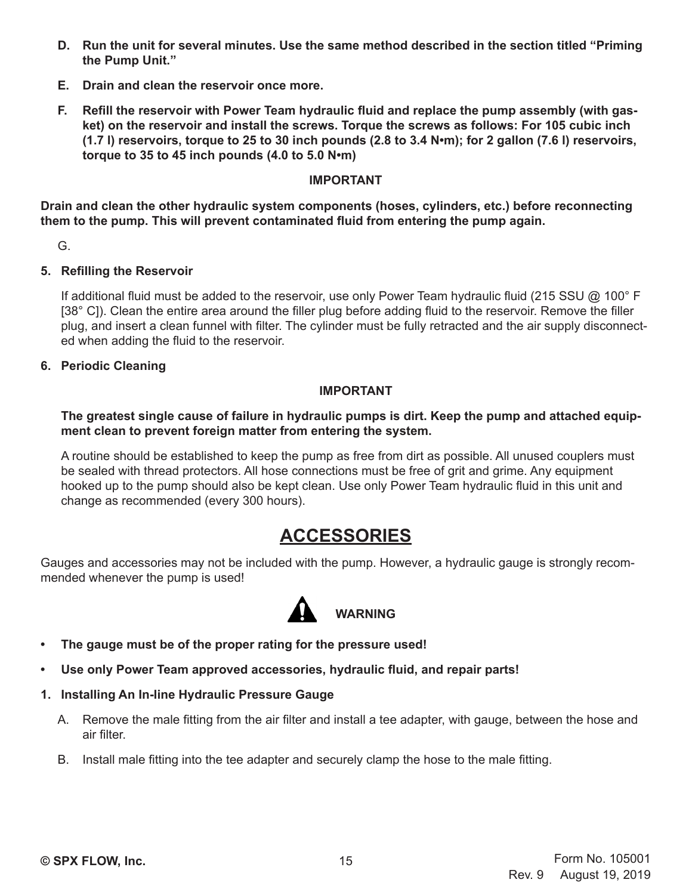- **D. Run the unit for several minutes. Use the same method described in the section titled "Priming the Pump Unit."**
- **E. Drain and clean the reservoir once more.**
- **F. Refill the reservoir with Power Team hydraulic fluid and replace the pump assembly (with gasket) on the reservoir and install the screws. Torque the screws as follows: For 105 cubic inch (1.7 l) reservoirs, torque to 25 to 30 inch pounds (2.8 to 3.4 N•m); for 2 gallon (7.6 l) reservoirs, torque to 35 to 45 inch pounds (4.0 to 5.0 N•m)**

#### **IMPORTANT**

**Drain and clean the other hydraulic system components (hoses, cylinders, etc.) before reconnecting them to the pump. This will prevent contaminated fluid from entering the pump again.**

G.

#### **5. Refilling the Reservoir**

If additional fluid must be added to the reservoir, use only Power Team hydraulic fluid (215 SSU @ 100° F [38° C]). Clean the entire area around the filler plug before adding fluid to the reservoir. Remove the filler plug, and insert a clean funnel with filter. The cylinder must be fully retracted and the air supply disconnected when adding the fluid to the reservoir.

**6. Periodic Cleaning**

#### **IMPORTANT**

#### **The greatest single cause of failure in hydraulic pumps is dirt. Keep the pump and attached equipment clean to prevent foreign matter from entering the system.**

A routine should be established to keep the pump as free from dirt as possible. All unused couplers must be sealed with thread protectors. All hose connections must be free of grit and grime. Any equipment hooked up to the pump should also be kept clean. Use only Power Team hydraulic fluid in this unit and change as recommended (every 300 hours).

## **ACCESSORIES**

Gauges and accessories may not be included with the pump. However, a hydraulic gauge is strongly recommended whenever the pump is used!



- **• The gauge must be of the proper rating for the pressure used!**
- **• Use only Power Team approved accessories, hydraulic fluid, and repair parts!**
- **1. Installing An In-line Hydraulic Pressure Gauge**
	- A. Remove the male fitting from the air filter and install a tee adapter, with gauge, between the hose and air filter.
	- B. Install male fitting into the tee adapter and securely clamp the hose to the male fitting.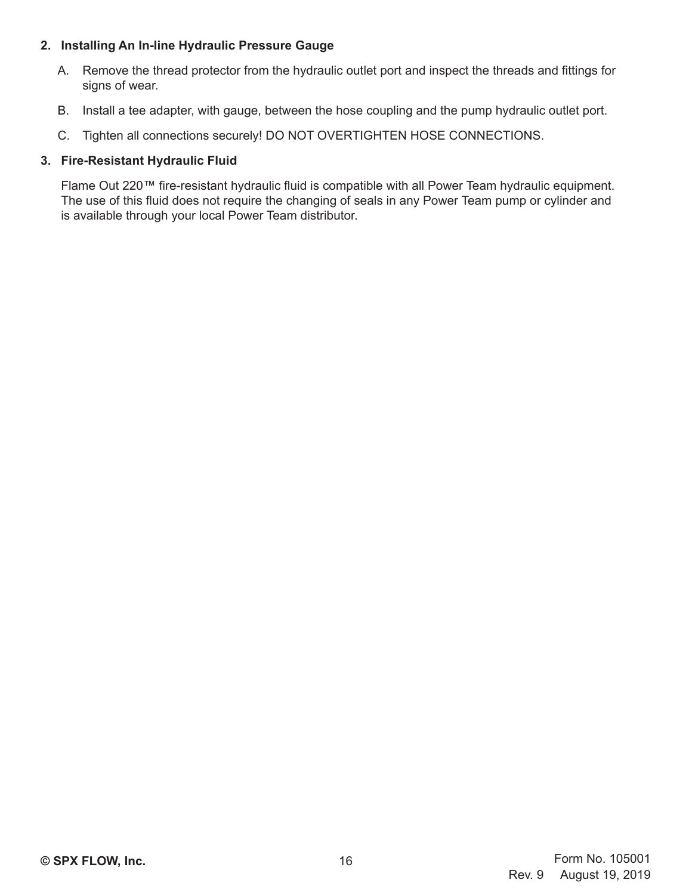## **2. Installing An In-line Hydraulic Pressure Gauge**

- A. Remove the thread protector from the hydraulic outlet port and inspect the threads and fittings for signs of wear.
- B. Install a tee adapter, with gauge, between the hose coupling and the pump hydraulic outlet port.
- C. Tighten all connections securely! DO NOT OVERTIGHTEN HOSE CONNECTIONS.

### **3. Fire-Resistant Hydraulic Fluid**

Flame Out 220™ fire-resistant hydraulic fluid is compatible with all Power Team hydraulic equipment. The use of this fluid does not require the changing of seals in any Power Team pump or cylinder and is available through your local Power Team distributor.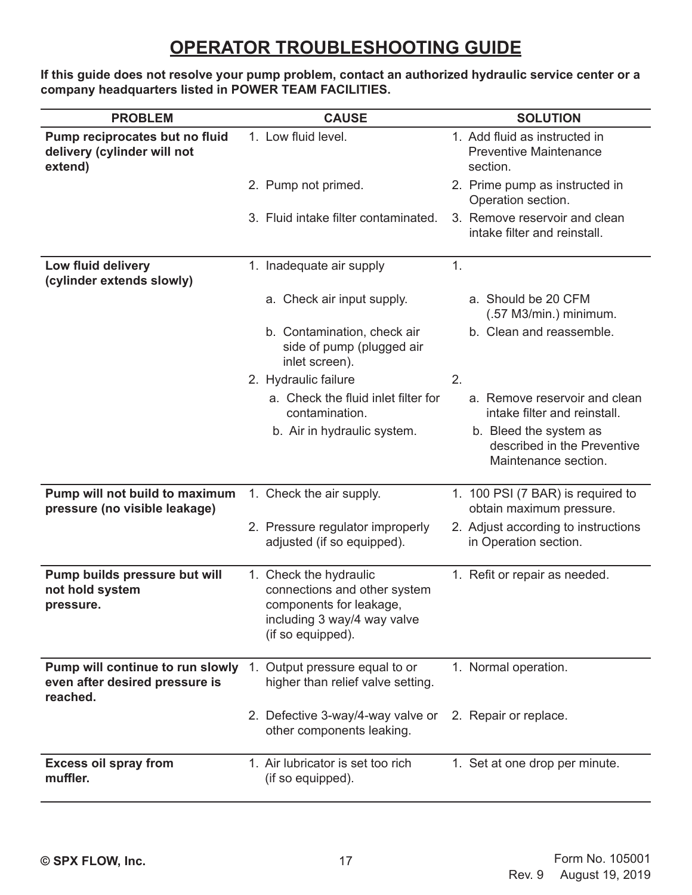# **OPERATOR TROUBLESHOOTING GUIDE**

**If this guide does not resolve your pump problem, contact an authorized hydraulic service center or a company headquarters listed in POWER TEAM FACILITIES.**

| <b>PROBLEM</b>                                                                 | <b>CAUSE</b>                                                                                                                          | <b>SOLUTION</b>                                                               |
|--------------------------------------------------------------------------------|---------------------------------------------------------------------------------------------------------------------------------------|-------------------------------------------------------------------------------|
| Pump reciprocates but no fluid<br>delivery (cylinder will not<br>extend)       | 1. Low fluid level.                                                                                                                   | 1. Add fluid as instructed in<br><b>Preventive Maintenance</b><br>section.    |
|                                                                                | 2. Pump not primed.                                                                                                                   | 2. Prime pump as instructed in<br>Operation section.                          |
|                                                                                | 3. Fluid intake filter contaminated.                                                                                                  | 3. Remove reservoir and clean<br>intake filter and reinstall.                 |
| Low fluid delivery<br>(cylinder extends slowly)                                | 1. Inadequate air supply                                                                                                              | 1.                                                                            |
|                                                                                | a. Check air input supply.                                                                                                            | a. Should be 20 CFM<br>$(.57 M3/min.)$ minimum.                               |
|                                                                                | b. Contamination, check air<br>side of pump (plugged air<br>inlet screen).                                                            | b. Clean and reassemble.                                                      |
|                                                                                | 2. Hydraulic failure                                                                                                                  | 2.                                                                            |
|                                                                                | a. Check the fluid inlet filter for<br>contamination.                                                                                 | a. Remove reservoir and clean<br>intake filter and reinstall.                 |
|                                                                                | b. Air in hydraulic system.                                                                                                           | b. Bleed the system as<br>described in the Preventive<br>Maintenance section. |
| Pump will not build to maximum<br>pressure (no visible leakage)                | 1. Check the air supply.                                                                                                              | 1. 100 PSI (7 BAR) is required to<br>obtain maximum pressure.                 |
|                                                                                | 2. Pressure regulator improperly<br>adjusted (if so equipped).                                                                        | 2. Adjust according to instructions<br>in Operation section.                  |
| Pump builds pressure but will<br>not hold system<br>pressure.                  | 1. Check the hydraulic<br>connections and other system<br>components for leakage,<br>including 3 way/4 way valve<br>(if so equipped). | 1. Refit or repair as needed.                                                 |
| Pump will continue to run slowly<br>even after desired pressure is<br>reached. | Output pressure equal to or<br>1.<br>higher than relief valve setting.                                                                | 1. Normal operation.                                                          |
|                                                                                | 2. Defective 3-way/4-way valve or<br>other components leaking.                                                                        | 2. Repair or replace.                                                         |
| <b>Excess oil spray from</b><br>muffler.                                       | 1. Air lubricator is set too rich<br>(if so equipped).                                                                                | 1. Set at one drop per minute.                                                |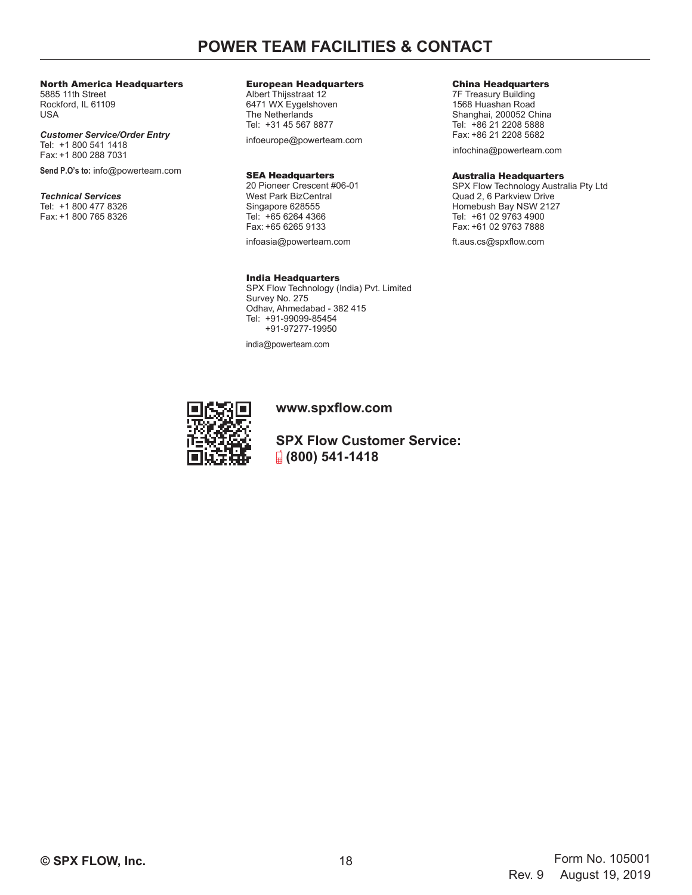## **POWER TEAM FACILITIES & CONTACT**

#### North America Headquarters

5885 11th Street Rockford, IL 61109 USA

#### *Customer Service/Order Entry* Tel: +1 800 541 1418 Fax: +1 800 288 7031

**Send P.O's to:** info@powerteam.com

#### *Technical Services*

Tel: +1 800 477 8326 Fax: +1 800 765 8326

#### European Headquarters

Albert Thijsstraat 12 6471 WX Eygelshoven The Netherlands Tel: +31 45 567 8877

infoeurope@powerteam.com

#### SEA Headquarters

20 Pioneer Crescent #06-01 West Park BizCentral Singapore 628555 Tel: +65 6264 4366 Fax: +65 6265 9133

infoasia@powerteam.com

#### India Headquarters

SPX Flow Technology (India) Pvt. Limited Survey No. 275 Odhav, Ahmedabad - 382 415 Tel: +91-99099-85454 +91-97277-19950

india@powerteam.com

#### **www.spxflow.com**

**SPX Flow Customer Service: (800) 541-1418**

#### China Headquarters

7F Treasury Building 1568 Huashan Road Shanghai, 200052 China Tel: +86 21 2208 5888 Fax: +86 21 2208 5682

infochina@powerteam.com

#### Australia Headquarters

SPX Flow Technology Australia Pty Ltd Quad 2, 6 Parkview Drive Homebush Bay NSW 2127 Tel: +61 02 9763 4900 Fax: +61 02 9763 7888

ft.aus.cs@spxflow.com